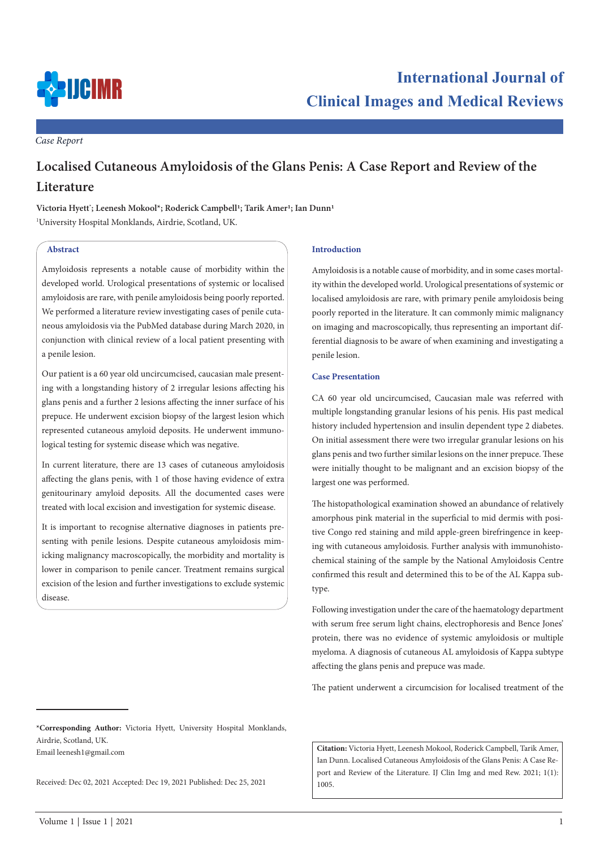

*Case Report*

# **Localised Cutaneous Amyloidosis of the Glans Penis: A Case Report and Review of the Literature**

Victoria Hyett<sup>\*</sup>; Leenesh Mokool\*; Roderick Campbell<sup>1</sup>; Tarik Amer<sup>1</sup>; Ian Dunn<sup>1</sup> 1 University Hospital Monklands, Airdrie, Scotland, UK.

## **Abstract**

Amyloidosis represents a notable cause of morbidity within the developed world. Urological presentations of systemic or localised amyloidosis are rare, with penile amyloidosis being poorly reported. We performed a literature review investigating cases of penile cutaneous amyloidosis via the PubMed database during March 2020, in conjunction with clinical review of a local patient presenting with a penile lesion.

Our patient is a 60 year old uncircumcised, caucasian male presenting with a longstanding history of 2 irregular lesions affecting his glans penis and a further 2 lesions affecting the inner surface of his prepuce. He underwent excision biopsy of the largest lesion which represented cutaneous amyloid deposits. He underwent immunological testing for systemic disease which was negative.

In current literature, there are 13 cases of cutaneous amyloidosis affecting the glans penis, with 1 of those having evidence of extra genitourinary amyloid deposits. All the documented cases were treated with local excision and investigation for systemic disease.

It is important to recognise alternative diagnoses in patients presenting with penile lesions. Despite cutaneous amyloidosis mimicking malignancy macroscopically, the morbidity and mortality is lower in comparison to penile cancer. Treatment remains surgical excision of the lesion and further investigations to exclude systemic disease.

#### **Introduction**

Amyloidosis is a notable cause of morbidity, and in some cases mortality within the developed world. Urological presentations of systemic or localised amyloidosis are rare, with primary penile amyloidosis being poorly reported in the literature. It can commonly mimic malignancy on imaging and macroscopically, thus representing an important differential diagnosis to be aware of when examining and investigating a penile lesion.

### **Case Presentation**

CA 60 year old uncircumcised, Caucasian male was referred with multiple longstanding granular lesions of his penis. His past medical history included hypertension and insulin dependent type 2 diabetes. On initial assessment there were two irregular granular lesions on his glans penis and two further similar lesions on the inner prepuce. These were initially thought to be malignant and an excision biopsy of the largest one was performed.

The histopathological examination showed an abundance of relatively amorphous pink material in the superficial to mid dermis with positive Congo red staining and mild apple-green birefringence in keeping with cutaneous amyloidosis. Further analysis with immunohistochemical staining of the sample by the National Amyloidosis Centre confirmed this result and determined this to be of the AL Kappa subtype.

Following investigation under the care of the haematology department with serum free serum light chains, electrophoresis and Bence Jones' protein, there was no evidence of systemic amyloidosis or multiple myeloma. A diagnosis of cutaneous AL amyloidosis of Kappa subtype affecting the glans penis and prepuce was made.

The patient underwent a circumcision for localised treatment of the

Email leenesh1@gmail.com

Received: Dec 02, 2021 Accepted: Dec 19, 2021 Published: Dec 25, 2021

**Citation:** Victoria Hyett, Leenesh Mokool, Roderick Campbell, Tarik Amer, Ian Dunn. Localised Cutaneous Amyloidosis of the Glans Penis: A Case Report and Review of the Literature. IJ Clin Img and med Rew. 2021; 1(1): 1005.

**<sup>\*</sup>Corresponding Author:** Victoria Hyett, University Hospital Monklands, Airdrie, Scotland, UK.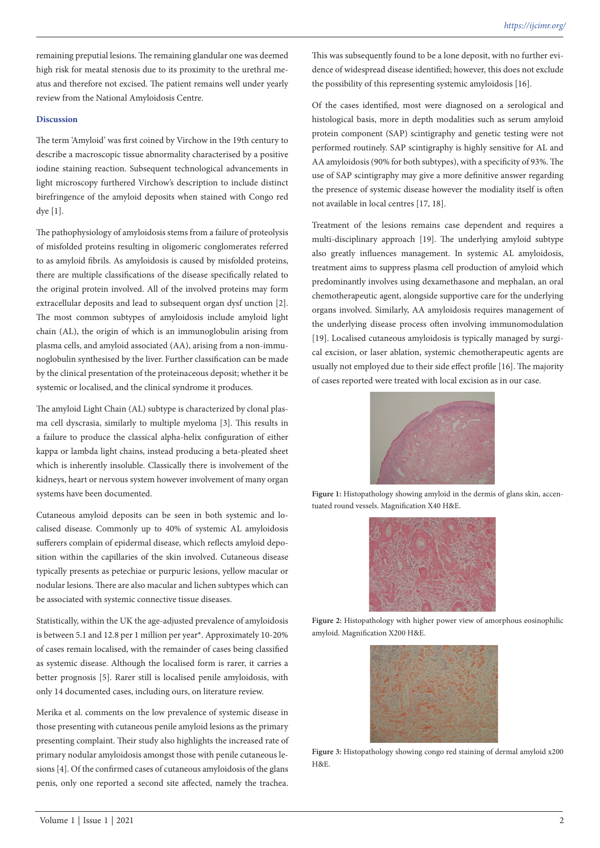remaining preputial lesions. The remaining glandular one was deemed high risk for meatal stenosis due to its proximity to the urethral meatus and therefore not excised. The patient remains well under yearly review from the National Amyloidosis Centre.

#### **Discussion**

The term 'Amyloid' was first coined by Virchow in the 19th century to describe a macroscopic tissue abnormality characterised by a positive iodine staining reaction. Subsequent technological advancements in light microscopy furthered Virchow's description to include distinct birefringence of the amyloid deposits when stained with Congo red dye [1].

The pathophysiology of amyloidosis stems from a failure of proteolysis of misfolded proteins resulting in oligomeric conglomerates referred to as amyloid fibrils. As amyloidosis is caused by misfolded proteins, there are multiple classifications of the disease specifically related to the original protein involved. All of the involved proteins may form extracellular deposits and lead to subsequent organ dysf unction [2]. The most common subtypes of amyloidosis include amyloid light chain (AL), the origin of which is an immunoglobulin arising from plasma cells, and amyloid associated (AA), arising from a non-immunoglobulin synthesised by the liver. Further classification can be made by the clinical presentation of the proteinaceous deposit; whether it be systemic or localised, and the clinical syndrome it produces.

The amyloid Light Chain (AL) subtype is characterized by clonal plasma cell dyscrasia, similarly to multiple myeloma [3]. This results in a failure to produce the classical alpha-helix configuration of either kappa or lambda light chains, instead producing a beta-pleated sheet which is inherently insoluble. Classically there is involvement of the kidneys, heart or nervous system however involvement of many organ systems have been documented.

Cutaneous amyloid deposits can be seen in both systemic and localised disease. Commonly up to 40% of systemic AL amyloidosis sufferers complain of epidermal disease, which reflects amyloid deposition within the capillaries of the skin involved. Cutaneous disease typically presents as petechiae or purpuric lesions, yellow macular or nodular lesions. There are also macular and lichen subtypes which can be associated with systemic connective tissue diseases.

Statistically, within the UK the age-adjusted prevalence of amyloidosis is between 5.1 and 12.8 per 1 million per year\*. Approximately 10-20% of cases remain localised, with the remainder of cases being classified as systemic disease. Although the localised form is rarer, it carries a better prognosis [5]. Rarer still is localised penile amyloidosis, with only 14 documented cases, including ours, on literature review.

Merika et al. comments on the low prevalence of systemic disease in those presenting with cutaneous penile amyloid lesions as the primary presenting complaint. Their study also highlights the increased rate of primary nodular amyloidosis amongst those with penile cutaneous lesions [4]. Of the confirmed cases of cutaneous amyloidosis of the glans penis, only one reported a second site affected, namely the trachea.

This was subsequently found to be a lone deposit, with no further evidence of widespread disease identified; however, this does not exclude the possibility of this representing systemic amyloidosis [16].

Of the cases identified, most were diagnosed on a serological and histological basis, more in depth modalities such as serum amyloid protein component (SAP) scintigraphy and genetic testing were not performed routinely. SAP scintigraphy is highly sensitive for AL and AA amyloidosis (90% for both subtypes), with a specificity of 93%. The use of SAP scintigraphy may give a more definitive answer regarding the presence of systemic disease however the modiality itself is often not available in local centres [17, 18].

Treatment of the lesions remains case dependent and requires a multi-disciplinary approach [19]. The underlying amyloid subtype also greatly influences management. In systemic AL amyloidosis, treatment aims to suppress plasma cell production of amyloid which predominantly involves using dexamethasone and mephalan, an oral chemotherapeutic agent, alongside supportive care for the underlying organs involved. Similarly, AA amyloidosis requires management of the underlying disease process often involving immunomodulation [19]. Localised cutaneous amyloidosis is typically managed by surgical excision, or laser ablation, systemic chemotherapeutic agents are usually not employed due to their side effect profile [16]. The majority of cases reported were treated with local excision as in our case.



Figure 1: Histopathology showing amyloid in the dermis of glans skin, accentuated round vessels. Magnification X40 H&E.



**Figure 2:** Histopathology with higher power view of amorphous eosinophilic amyloid. Magnification X200 H&E.



**Figure 3:** Histopathology showing congo red staining of dermal amyloid x200 H&E.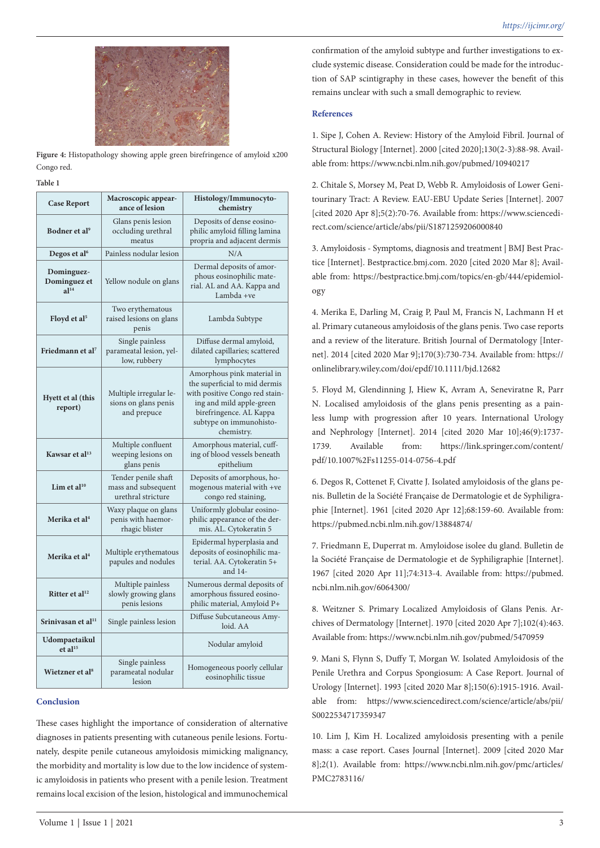

**Figure 4:** Histopathology showing apple green birefringence of amyloid x200 Congo red.

#### **Table 1**

| <b>Case Report</b>                              | Macroscopic appear-<br>ance of lesion                            | Histology/Immunocyto-<br>chemistry                                                                                                                                                            |
|-------------------------------------------------|------------------------------------------------------------------|-----------------------------------------------------------------------------------------------------------------------------------------------------------------------------------------------|
| Bodner et al <sup>9</sup>                       | Glans penis lesion<br>occluding urethral<br>meatus               | Deposits of dense eosino-<br>philic amyloid filling lamina<br>propria and adjacent dermis                                                                                                     |
| Degos et al <sup>6</sup>                        | Painless nodular lesion                                          | N/A                                                                                                                                                                                           |
| Dominguez-<br>Dominguez et<br>$a$ <sup>14</sup> | Yellow nodule on glans                                           | Dermal deposits of amor-<br>phous eosinophilic mate-<br>rial. AL and AA. Kappa and<br>Lambda +ve                                                                                              |
| Floyd et al <sup>5</sup>                        | Two erythematous<br>raised lesions on glans<br>penis             | Lambda Subtype                                                                                                                                                                                |
| Friedmann et al <sup>7</sup>                    | Single painless<br>parameatal lesion, yel-<br>low, rubbery       | Diffuse dermal amyloid,<br>dilated capillaries; scattered<br>lymphocytes                                                                                                                      |
| Hyett et al (this<br>report)                    | Multiple irregular le-<br>sions on glans penis<br>and prepuce    | Amorphous pink material in<br>the superficial to mid dermis<br>with positive Congo red stain-<br>ing and mild apple-green<br>birefringence. AL Kappa<br>subtype on immunohisto-<br>chemistry. |
| Kawsar et al <sup>13</sup>                      | Multiple confluent<br>weeping lesions on<br>glans penis          | Amorphous material, cuff-<br>ing of blood vessels beneath<br>epithelium                                                                                                                       |
| Lim et al <sup>10</sup>                         | Tender penile shaft<br>mass and subsequent<br>urethral stricture | Deposits of amorphous, ho-<br>mogenous material with +ve<br>congo red staining,                                                                                                               |
| Merika et al <sup>4</sup>                       | Waxy plaque on glans<br>penis with haemor-<br>rhagic blister     | Uniformly globular eosino-<br>philic appearance of the der-<br>mis. AL. Cytokeratin 5                                                                                                         |
| Merika et al <sup>4</sup>                       | Multiple erythematous<br>papules and nodules                     | Epidermal hyperplasia and<br>deposits of eosinophilic ma-<br>terial. AA. Cytokeratin 5+<br>and 14-                                                                                            |
| Ritter et al <sup>12</sup>                      | Multiple painless<br>slowly growing glans<br>penis lesions       | Numerous dermal deposits of<br>amorphous fissured eosino-<br>philic material, Amyloid P+                                                                                                      |
| Srinivasan et al <sup>11</sup>                  | Single painless lesion                                           | Diffuse Subcutaneous Amy-<br>loid. AA                                                                                                                                                         |
| Udompaetaikul<br>et al <sup>15</sup>            |                                                                  | Nodular amyloid                                                                                                                                                                               |
| Wietzner et al <sup>8</sup>                     | Single painless<br>parameatal nodular<br>lesion                  | Homogeneous poorly cellular<br>eosinophilic tissue                                                                                                                                            |

### **Conclusion**

These cases highlight the importance of consideration of alternative diagnoses in patients presenting with cutaneous penile lesions. Fortunately, despite penile cutaneous amyloidosis mimicking malignancy, the morbidity and mortality is low due to the low incidence of systemic amyloidosis in patients who present with a penile lesion. Treatment remains local excision of the lesion, histological and immunochemical

confirmation of the amyloid subtype and further investigations to exclude systemic disease. Consideration could be made for the introduction of SAP scintigraphy in these cases, however the benefit of this remains unclear with such a small demographic to review.

#### **References**

1. Sipe J, Cohen A. Review: History of the Amyloid Fibril. Journal of Structural Biology [Internet]. 2000 [cited 2020];130(2-3):88-98. Available from: https://www.ncbi.nlm.nih.gov/pubmed/10940217

2. Chitale S, Morsey M, Peat D, Webb R. Amyloidosis of Lower Genitourinary Tract: A Review. EAU-EBU Update Series [Internet]. 2007 [cited 2020 Apr 8];5(2):70-76. Available from: https://www.sciencedirect.com/science/article/abs/pii/S1871259206000840

3. Amyloidosis - Symptoms, diagnosis and treatment | BMJ Best Practice [Internet]. Bestpractice.bmj.com. 2020 [cited 2020 Mar 8]; Available from: https://bestpractice.bmj.com/topics/en-gb/444/epidemiology

4. Merika E, Darling M, Craig P, Paul M, Francis N, Lachmann H et al. Primary cutaneous amyloidosis of the glans penis. Two case reports and a review of the literature. British Journal of Dermatology [Internet]. 2014 [cited 2020 Mar 9];170(3):730-734. Available from: https:// onlinelibrary.wiley.com/doi/epdf/10.1111/bjd.12682

5. Floyd M, Glendinning J, Hiew K, Avram A, Seneviratne R, Parr N. Localised amyloidosis of the glans penis presenting as a painless lump with progression after 10 years. International Urology and Nephrology [Internet]. 2014 [cited 2020 Mar 10];46(9):1737- 1739. Available from: https://link.springer.com/content/ pdf/10.1007%2Fs11255-014-0756-4.pdf

6. Degos R, Cottenet F, Civatte J. Isolated amyloidosis of the glans penis. Bulletin de la Société Française de Dermatologie et de Syphiligraphie [Internet]. 1961 [cited 2020 Apr 12];68:159-60. Available from: https://pubmed.ncbi.nlm.nih.gov/13884874/

7. Friedmann E, Duperrat m. Amyloidose isolee du gland. Bulletin de la Société Française de Dermatologie et de Syphiligraphie [Internet]. 1967 [cited 2020 Apr 11];74:313-4. Available from: https://pubmed. ncbi.nlm.nih.gov/6064300/

8. Weitzner S. Primary Localized Amyloidosis of Glans Penis. Archives of Dermatology [Internet]. 1970 [cited 2020 Apr 7];102(4):463. Available from: https://www.ncbi.nlm.nih.gov/pubmed/5470959

9. Mani S, Flynn S, Duffy T, Morgan W. Isolated Amyloidosis of the Penile Urethra and Corpus Spongiosum: A Case Report. Journal of Urology [Internet]. 1993 [cited 2020 Mar 8];150(6):1915-1916. Available from: https://www.sciencedirect.com/science/article/abs/pii/ S0022534717359347

10. Lim J, Kim H. Localized amyloidosis presenting with a penile mass: a case report. Cases Journal [Internet]. 2009 [cited 2020 Mar 8];2(1). Available from: https://www.ncbi.nlm.nih.gov/pmc/articles/ PMC2783116/